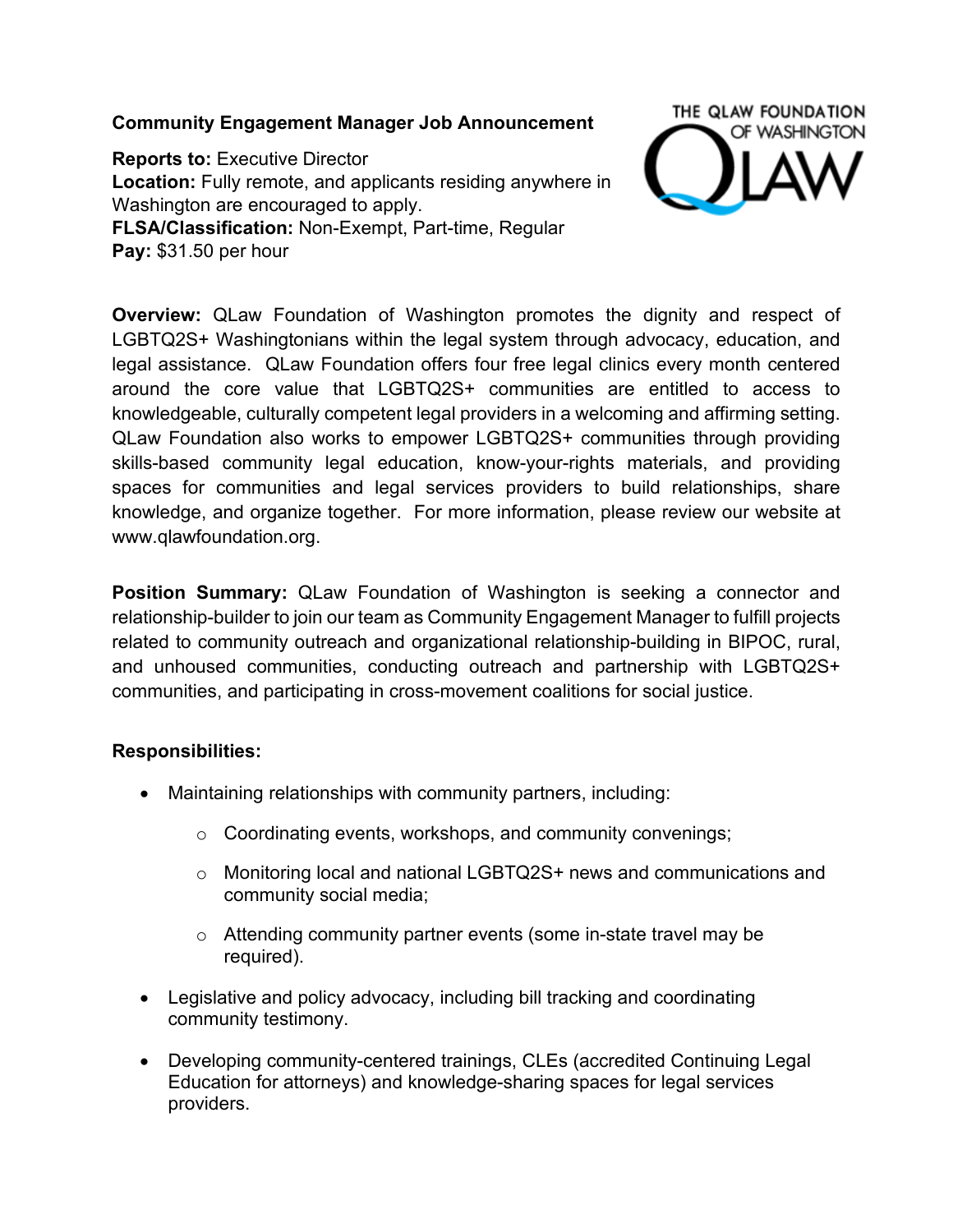# **Community Engagement Manager Job Announcement**

**Reports to:** Executive Director **Location:** Fully remote, and applicants residing anywhere in Washington are encouraged to apply. **FLSA/Classification:** Non-Exempt, Part-time, Regular **Pay:** \$31.50 per hour



**Overview:** QLaw Foundation of Washington promotes the dignity and respect of LGBTQ2S+ Washingtonians within the legal system through advocacy, education, and legal assistance. QLaw Foundation offers four free legal clinics every month centered around the core value that LGBTQ2S+ communities are entitled to access to knowledgeable, culturally competent legal providers in a welcoming and affirming setting. QLaw Foundation also works to empower LGBTQ2S+ communities through providing skills-based community legal education, know-your-rights materials, and providing spaces for communities and legal services providers to build relationships, share knowledge, and organize together. For more information, please review our website at www.qlawfoundation.org.

**Position Summary:** QLaw Foundation of Washington is seeking a connector and relationship-builder to join our team as Community Engagement Manager to fulfill projects related to community outreach and organizational relationship-building in BIPOC, rural, and unhoused communities, conducting outreach and partnership with LGBTQ2S+ communities, and participating in cross-movement coalitions for social justice.

# **Responsibilities:**

- Maintaining relationships with community partners, including:
	- o Coordinating events, workshops, and community convenings;
	- o Monitoring local and national LGBTQ2S+ news and communications and community social media;
	- o Attending community partner events (some in-state travel may be required).
- Legislative and policy advocacy, including bill tracking and coordinating community testimony.
- Developing community-centered trainings, CLEs (accredited Continuing Legal Education for attorneys) and knowledge-sharing spaces for legal services providers.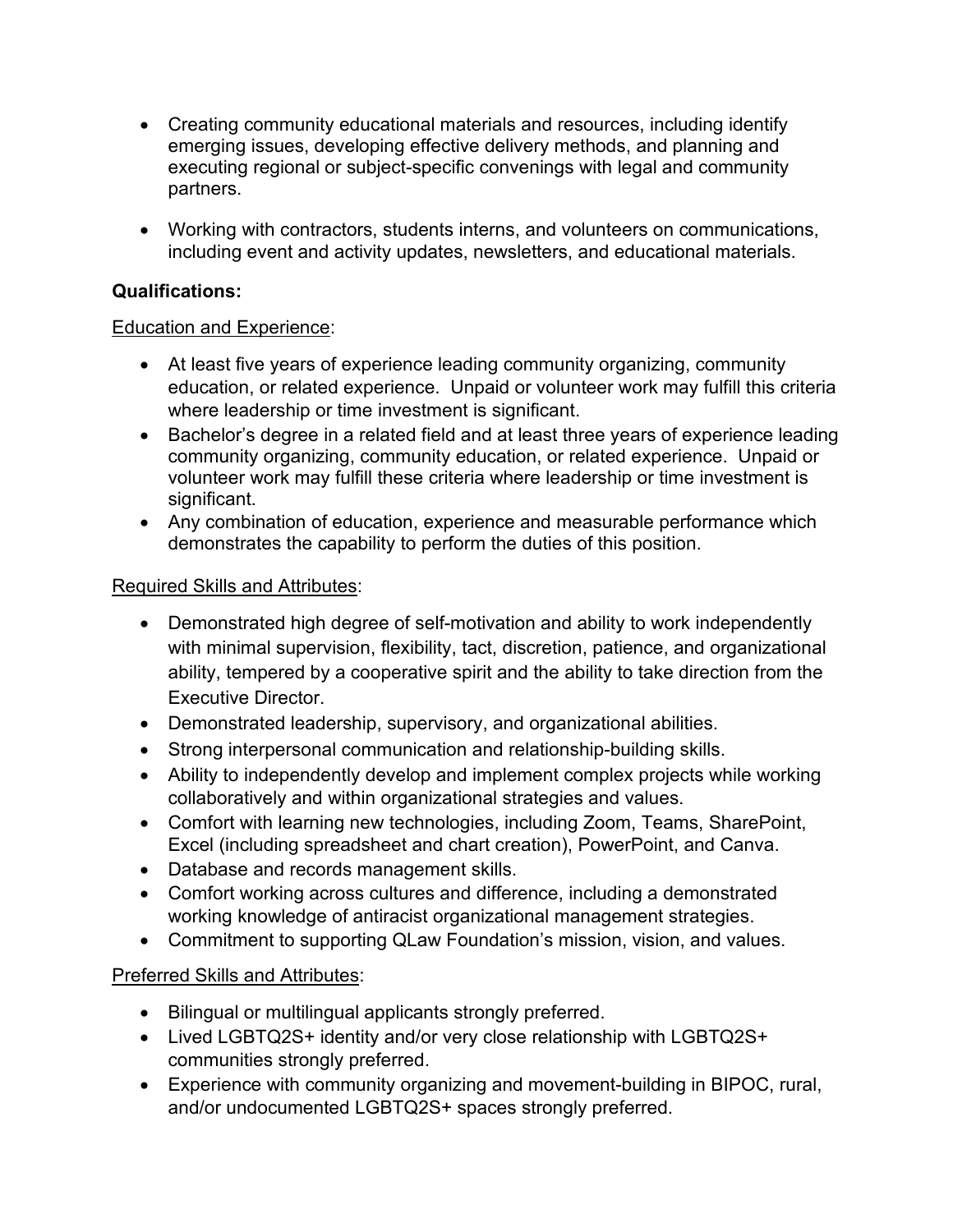- Creating community educational materials and resources, including identify emerging issues, developing effective delivery methods, and planning and executing regional or subject-specific convenings with legal and community partners.
- Working with contractors, students interns, and volunteers on communications, including event and activity updates, newsletters, and educational materials.

# **Qualifications:**

### Education and Experience:

- At least five years of experience leading community organizing, community education, or related experience. Unpaid or volunteer work may fulfill this criteria where leadership or time investment is significant.
- Bachelor's degree in a related field and at least three years of experience leading community organizing, community education, or related experience. Unpaid or volunteer work may fulfill these criteria where leadership or time investment is significant.
- Any combination of education, experience and measurable performance which demonstrates the capability to perform the duties of this position.

### Required Skills and Attributes:

- Demonstrated high degree of self-motivation and ability to work independently with minimal supervision, flexibility, tact, discretion, patience, and organizational ability, tempered by a cooperative spirit and the ability to take direction from the Executive Director.
- Demonstrated leadership, supervisory, and organizational abilities.
- Strong interpersonal communication and relationship-building skills.
- Ability to independently develop and implement complex projects while working collaboratively and within organizational strategies and values.
- Comfort with learning new technologies, including Zoom, Teams, SharePoint, Excel (including spreadsheet and chart creation), PowerPoint, and Canva.
- Database and records management skills.
- Comfort working across cultures and difference, including a demonstrated working knowledge of antiracist organizational management strategies.
- Commitment to supporting QLaw Foundation's mission, vision, and values.

# Preferred Skills and Attributes:

- Bilingual or multilingual applicants strongly preferred.
- Lived LGBTQ2S+ identity and/or very close relationship with LGBTQ2S+ communities strongly preferred.
- Experience with community organizing and movement-building in BIPOC, rural, and/or undocumented LGBTQ2S+ spaces strongly preferred.